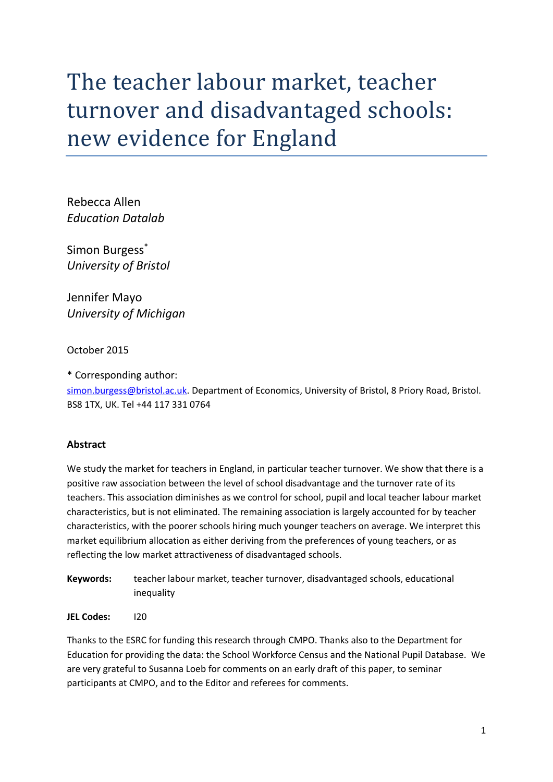# The teacher labour market, teacher turnover and disadvantaged schools: new evidence for England

Rebecca Allen *Education Datalab*

Simon Burgess<sup>\*</sup> *University of Bristol*

Jennifer Mayo *University of Michigan*

October 2015

\* Corresponding author: [simon.burgess@bristol.ac.uk.](mailto:simon.burgess@bristol.ac.uk) Department of Economics, University of Bristol, 8 Priory Road, Bristol. BS8 1TX, UK. Tel +44 117 331 0764

#### **Abstract**

We study the market for teachers in England, in particular teacher turnover. We show that there is a positive raw association between the level of school disadvantage and the turnover rate of its teachers. This association diminishes as we control for school, pupil and local teacher labour market characteristics, but is not eliminated. The remaining association is largely accounted for by teacher characteristics, with the poorer schools hiring much younger teachers on average. We interpret this market equilibrium allocation as either deriving from the preferences of young teachers, or as reflecting the low market attractiveness of disadvantaged schools.

- **Keywords:** teacher labour market, teacher turnover, disadvantaged schools, educational inequality
- **JEL Codes:** I20

Thanks to the ESRC for funding this research through CMPO. Thanks also to the Department for Education for providing the data: the School Workforce Census and the National Pupil Database. We are very grateful to Susanna Loeb for comments on an early draft of this paper, to seminar participants at CMPO, and to the Editor and referees for comments.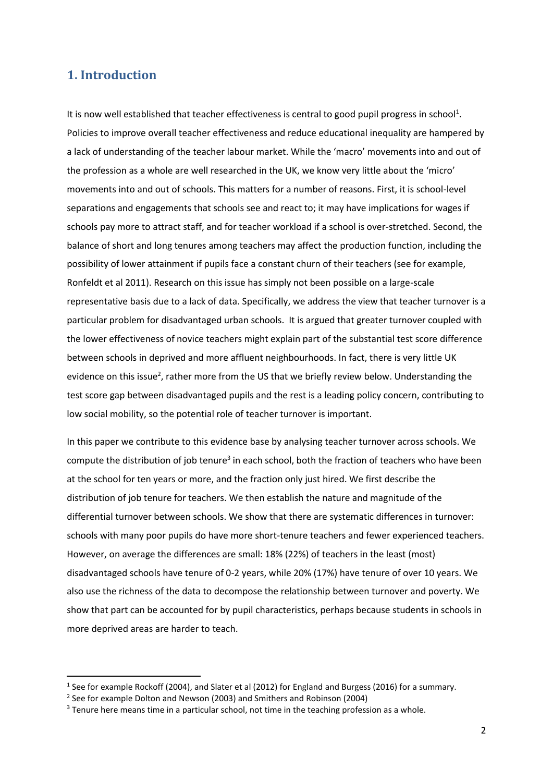#### **1. Introduction**

It is now well established that teacher effectiveness is central to good pupil progress in school<sup>1</sup>. Policies to improve overall teacher effectiveness and reduce educational inequality are hampered by a lack of understanding of the teacher labour market. While the 'macro' movements into and out of the profession as a whole are well researched in the UK, we know very little about the 'micro' movements into and out of schools. This matters for a number of reasons. First, it is school-level separations and engagements that schools see and react to; it may have implications for wages if schools pay more to attract staff, and for teacher workload if a school is over-stretched. Second, the balance of short and long tenures among teachers may affect the production function, including the possibility of lower attainment if pupils face a constant churn of their teachers (see for example, Ronfeldt et al 2011). Research on this issue has simply not been possible on a large-scale representative basis due to a lack of data. Specifically, we address the view that teacher turnover is a particular problem for disadvantaged urban schools. It is argued that greater turnover coupled with the lower effectiveness of novice teachers might explain part of the substantial test score difference between schools in deprived and more affluent neighbourhoods. In fact, there is very little UK evidence on this issue<sup>2</sup>, rather more from the US that we briefly review below. Understanding the test score gap between disadvantaged pupils and the rest is a leading policy concern, contributing to low social mobility, so the potential role of teacher turnover is important.

In this paper we contribute to this evidence base by analysing teacher turnover across schools. We compute the distribution of job tenure<sup>3</sup> in each school, both the fraction of teachers who have been at the school for ten years or more, and the fraction only just hired. We first describe the distribution of job tenure for teachers. We then establish the nature and magnitude of the differential turnover between schools. We show that there are systematic differences in turnover: schools with many poor pupils do have more short-tenure teachers and fewer experienced teachers. However, on average the differences are small: 18% (22%) of teachers in the least (most) disadvantaged schools have tenure of 0-2 years, while 20% (17%) have tenure of over 10 years. We also use the richness of the data to decompose the relationship between turnover and poverty. We show that part can be accounted for by pupil characteristics, perhaps because students in schools in more deprived areas are harder to teach.

**.** 

<sup>&</sup>lt;sup>1</sup> See for example Rockoff (2004), and Slater et al (2012) for England and Burgess (2016) for a summary.

<sup>&</sup>lt;sup>2</sup> See for example Dolton and Newson (2003) and Smithers and Robinson (2004)

<sup>&</sup>lt;sup>3</sup> Tenure here means time in a particular school, not time in the teaching profession as a whole.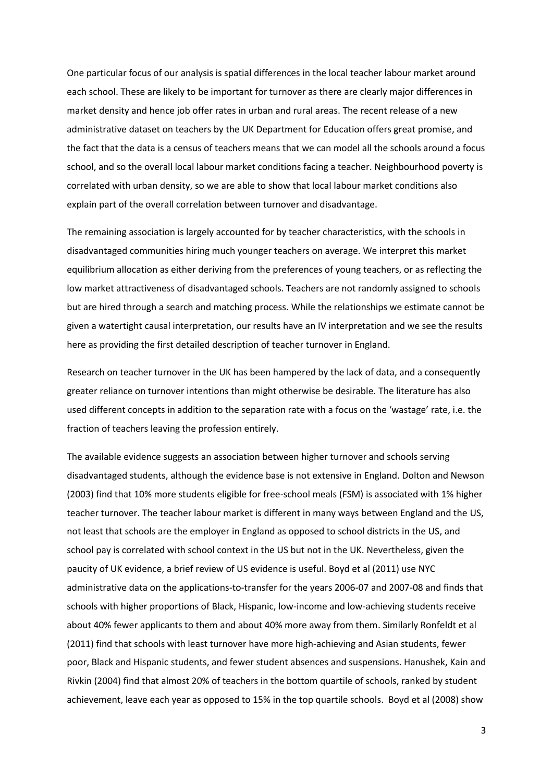One particular focus of our analysis is spatial differences in the local teacher labour market around each school. These are likely to be important for turnover as there are clearly major differences in market density and hence job offer rates in urban and rural areas. The recent release of a new administrative dataset on teachers by the UK Department for Education offers great promise, and the fact that the data is a census of teachers means that we can model all the schools around a focus school, and so the overall local labour market conditions facing a teacher. Neighbourhood poverty is correlated with urban density, so we are able to show that local labour market conditions also explain part of the overall correlation between turnover and disadvantage.

The remaining association is largely accounted for by teacher characteristics, with the schools in disadvantaged communities hiring much younger teachers on average. We interpret this market equilibrium allocation as either deriving from the preferences of young teachers, or as reflecting the low market attractiveness of disadvantaged schools. Teachers are not randomly assigned to schools but are hired through a search and matching process. While the relationships we estimate cannot be given a watertight causal interpretation, our results have an IV interpretation and we see the results here as providing the first detailed description of teacher turnover in England.

Research on teacher turnover in the UK has been hampered by the lack of data, and a consequently greater reliance on turnover intentions than might otherwise be desirable. The literature has also used different concepts in addition to the separation rate with a focus on the 'wastage' rate, i.e. the fraction of teachers leaving the profession entirely.

The available evidence suggests an association between higher turnover and schools serving disadvantaged students, although the evidence base is not extensive in England. Dolton and Newson (2003) find that 10% more students eligible for free-school meals (FSM) is associated with 1% higher teacher turnover. The teacher labour market is different in many ways between England and the US, not least that schools are the employer in England as opposed to school districts in the US, and school pay is correlated with school context in the US but not in the UK. Nevertheless, given the paucity of UK evidence, a brief review of US evidence is useful. Boyd et al (2011) use NYC administrative data on the applications-to-transfer for the years 2006-07 and 2007-08 and finds that schools with higher proportions of Black, Hispanic, low-income and low-achieving students receive about 40% fewer applicants to them and about 40% more away from them. Similarly Ronfeldt et al (2011) find that schools with least turnover have more high-achieving and Asian students, fewer poor, Black and Hispanic students, and fewer student absences and suspensions. Hanushek, Kain and Rivkin (2004) find that almost 20% of teachers in the bottom quartile of schools, ranked by student achievement, leave each year as opposed to 15% in the top quartile schools. Boyd et al (2008) show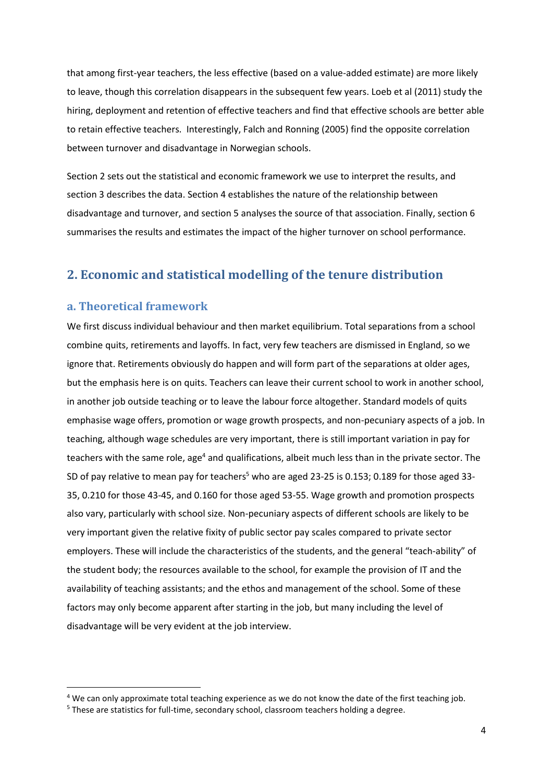that among first-year teachers, the less effective (based on a value-added estimate) are more likely to leave, though this correlation disappears in the subsequent few years. Loeb et al (2011) study the hiring, deployment and retention of effective teachers and find that effective schools are better able to retain effective teachers. Interestingly, Falch and Ronning (2005) find the opposite correlation between turnover and disadvantage in Norwegian schools.

Section 2 sets out the statistical and economic framework we use to interpret the results, and section 3 describes the data. Section 4 establishes the nature of the relationship between disadvantage and turnover, and section 5 analyses the source of that association. Finally, section 6 summarises the results and estimates the impact of the higher turnover on school performance.

### **2. Economic and statistical modelling of the tenure distribution**

#### **a. Theoretical framework**

1

We first discuss individual behaviour and then market equilibrium. Total separations from a school combine quits, retirements and layoffs. In fact, very few teachers are dismissed in England, so we ignore that. Retirements obviously do happen and will form part of the separations at older ages, but the emphasis here is on quits. Teachers can leave their current school to work in another school, in another job outside teaching or to leave the labour force altogether. Standard models of quits emphasise wage offers, promotion or wage growth prospects, and non-pecuniary aspects of a job. In teaching, although wage schedules are very important, there is still important variation in pay for teachers with the same role, age<sup>4</sup> and qualifications, albeit much less than in the private sector. The SD of pay relative to mean pay for teachers<sup>5</sup> who are aged 23-25 is 0.153; 0.189 for those aged 33-35, 0.210 for those 43-45, and 0.160 for those aged 53-55. Wage growth and promotion prospects also vary, particularly with school size. Non-pecuniary aspects of different schools are likely to be very important given the relative fixity of public sector pay scales compared to private sector employers. These will include the characteristics of the students, and the general "teach-ability" of the student body; the resources available to the school, for example the provision of IT and the availability of teaching assistants; and the ethos and management of the school. Some of these factors may only become apparent after starting in the job, but many including the level of disadvantage will be very evident at the job interview.

<sup>4</sup> We can only approximate total teaching experience as we do not know the date of the first teaching job.

<sup>&</sup>lt;sup>5</sup> These are statistics for full-time, secondary school, classroom teachers holding a degree.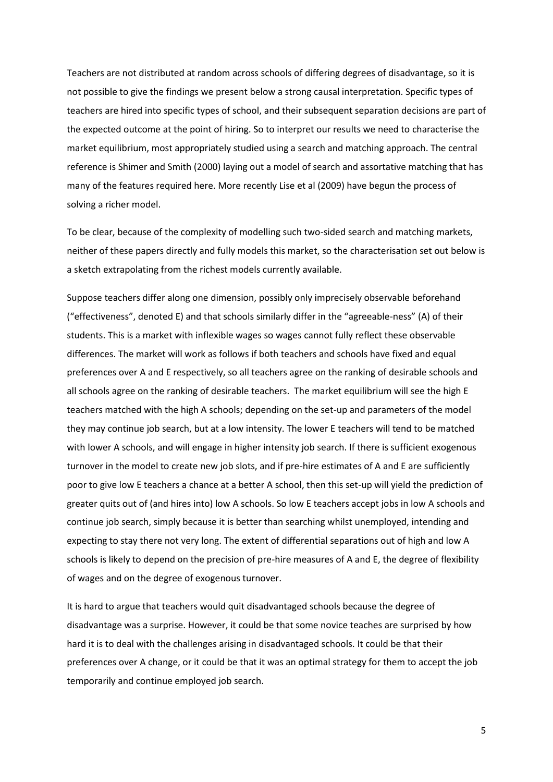Teachers are not distributed at random across schools of differing degrees of disadvantage, so it is not possible to give the findings we present below a strong causal interpretation. Specific types of teachers are hired into specific types of school, and their subsequent separation decisions are part of the expected outcome at the point of hiring. So to interpret our results we need to characterise the market equilibrium, most appropriately studied using a search and matching approach. The central reference is Shimer and Smith (2000) laying out a model of search and assortative matching that has many of the features required here. More recently Lise et al (2009) have begun the process of solving a richer model.

To be clear, because of the complexity of modelling such two-sided search and matching markets, neither of these papers directly and fully models this market, so the characterisation set out below is a sketch extrapolating from the richest models currently available.

Suppose teachers differ along one dimension, possibly only imprecisely observable beforehand ("effectiveness", denoted E) and that schools similarly differ in the "agreeable-ness" (A) of their students. This is a market with inflexible wages so wages cannot fully reflect these observable differences. The market will work as follows if both teachers and schools have fixed and equal preferences over A and E respectively, so all teachers agree on the ranking of desirable schools and all schools agree on the ranking of desirable teachers. The market equilibrium will see the high E teachers matched with the high A schools; depending on the set-up and parameters of the model they may continue job search, but at a low intensity. The lower E teachers will tend to be matched with lower A schools, and will engage in higher intensity job search. If there is sufficient exogenous turnover in the model to create new job slots, and if pre-hire estimates of A and E are sufficiently poor to give low E teachers a chance at a better A school, then this set-up will yield the prediction of greater quits out of (and hires into) low A schools. So low E teachers accept jobs in low A schools and continue job search, simply because it is better than searching whilst unemployed, intending and expecting to stay there not very long. The extent of differential separations out of high and low A schools is likely to depend on the precision of pre-hire measures of A and E, the degree of flexibility of wages and on the degree of exogenous turnover.

It is hard to argue that teachers would quit disadvantaged schools because the degree of disadvantage was a surprise. However, it could be that some novice teaches are surprised by how hard it is to deal with the challenges arising in disadvantaged schools. It could be that their preferences over A change, or it could be that it was an optimal strategy for them to accept the job temporarily and continue employed job search.

5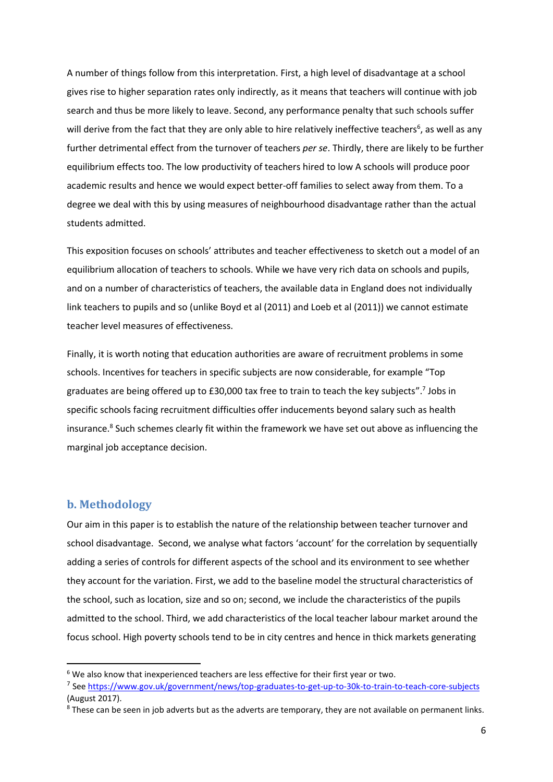A number of things follow from this interpretation. First, a high level of disadvantage at a school gives rise to higher separation rates only indirectly, as it means that teachers will continue with job search and thus be more likely to leave. Second, any performance penalty that such schools suffer will derive from the fact that they are only able to hire relatively ineffective teachers<sup>6</sup>, as well as any further detrimental effect from the turnover of teachers *per se*. Thirdly, there are likely to be further equilibrium effects too. The low productivity of teachers hired to low A schools will produce poor academic results and hence we would expect better-off families to select away from them. To a degree we deal with this by using measures of neighbourhood disadvantage rather than the actual students admitted.

This exposition focuses on schools' attributes and teacher effectiveness to sketch out a model of an equilibrium allocation of teachers to schools. While we have very rich data on schools and pupils, and on a number of characteristics of teachers, the available data in England does not individually link teachers to pupils and so (unlike Boyd et al (2011) and Loeb et al (2011)) we cannot estimate teacher level measures of effectiveness.

Finally, it is worth noting that education authorities are aware of recruitment problems in some schools. Incentives for teachers in specific subjects are now considerable, for example "Top graduates are being offered up to £30,000 tax free to train to teach the key subjects".<sup>7</sup> Jobs in specific schools facing recruitment difficulties offer inducements beyond salary such as health insurance.<sup>8</sup> Such schemes clearly fit within the framework we have set out above as influencing the marginal job acceptance decision.

#### **b. Methodology**

1

Our aim in this paper is to establish the nature of the relationship between teacher turnover and school disadvantage. Second, we analyse what factors 'account' for the correlation by sequentially adding a series of controls for different aspects of the school and its environment to see whether they account for the variation. First, we add to the baseline model the structural characteristics of the school, such as location, size and so on; second, we include the characteristics of the pupils admitted to the school. Third, we add characteristics of the local teacher labour market around the focus school. High poverty schools tend to be in city centres and hence in thick markets generating

<sup>&</sup>lt;sup>6</sup> We also know that inexperienced teachers are less effective for their first year or two.

<sup>&</sup>lt;sup>7</sup> See<https://www.gov.uk/government/news/top-graduates-to-get-up-to-30k-to-train-to-teach-core-subjects> (August 2017).

<sup>&</sup>lt;sup>8</sup> These can be seen in job adverts but as the adverts are temporary, they are not available on permanent links.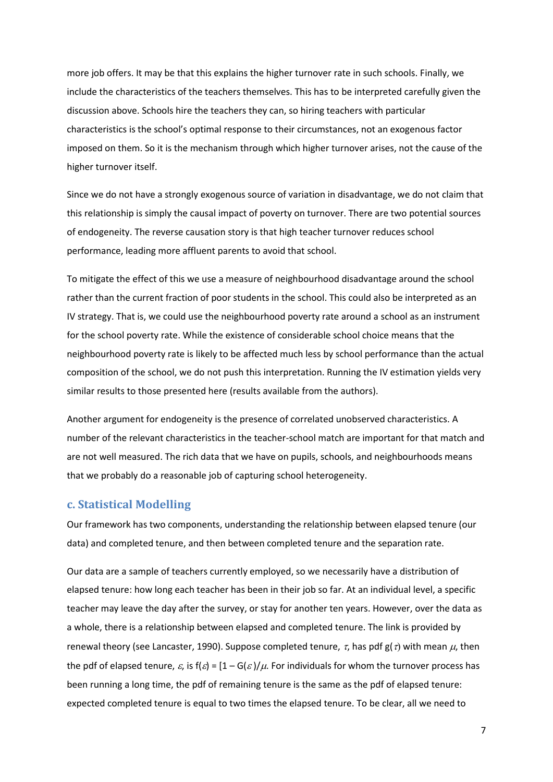more job offers. It may be that this explains the higher turnover rate in such schools. Finally, we include the characteristics of the teachers themselves. This has to be interpreted carefully given the discussion above. Schools hire the teachers they can, so hiring teachers with particular characteristics is the school's optimal response to their circumstances, not an exogenous factor imposed on them. So it is the mechanism through which higher turnover arises, not the cause of the higher turnover itself.

Since we do not have a strongly exogenous source of variation in disadvantage, we do not claim that this relationship is simply the causal impact of poverty on turnover. There are two potential sources of endogeneity. The reverse causation story is that high teacher turnover reduces school performance, leading more affluent parents to avoid that school.

To mitigate the effect of this we use a measure of neighbourhood disadvantage around the school rather than the current fraction of poor students in the school. This could also be interpreted as an IV strategy. That is, we could use the neighbourhood poverty rate around a school as an instrument for the school poverty rate. While the existence of considerable school choice means that the neighbourhood poverty rate is likely to be affected much less by school performance than the actual composition of the school, we do not push this interpretation. Running the IV estimation yields very similar results to those presented here (results available from the authors).

Another argument for endogeneity is the presence of correlated unobserved characteristics. A number of the relevant characteristics in the teacher-school match are important for that match and are not well measured. The rich data that we have on pupils, schools, and neighbourhoods means that we probably do a reasonable job of capturing school heterogeneity.

#### **c. Statistical Modelling**

Our framework has two components, understanding the relationship between elapsed tenure (our data) and completed tenure, and then between completed tenure and the separation rate.

Our data are a sample of teachers currently employed, so we necessarily have a distribution of elapsed tenure: how long each teacher has been in their job so far. At an individual level, a specific teacher may leave the day after the survey, or stay for another ten years. However, over the data as a whole, there is a relationship between elapsed and completed tenure. The link is provided by renewal theory (see Lancaster, 1990). Suppose completed tenure,  $\tau$ , has pdf g( $\tau$ ) with mean  $\mu$ , then the pdf of elapsed tenure,  $\varepsilon$ , is  $f(\varepsilon) = [1 - G(\varepsilon)]/\mu$ . For individuals for whom the turnover process has been running a long time, the pdf of remaining tenure is the same as the pdf of elapsed tenure: expected completed tenure is equal to two times the elapsed tenure. To be clear, all we need to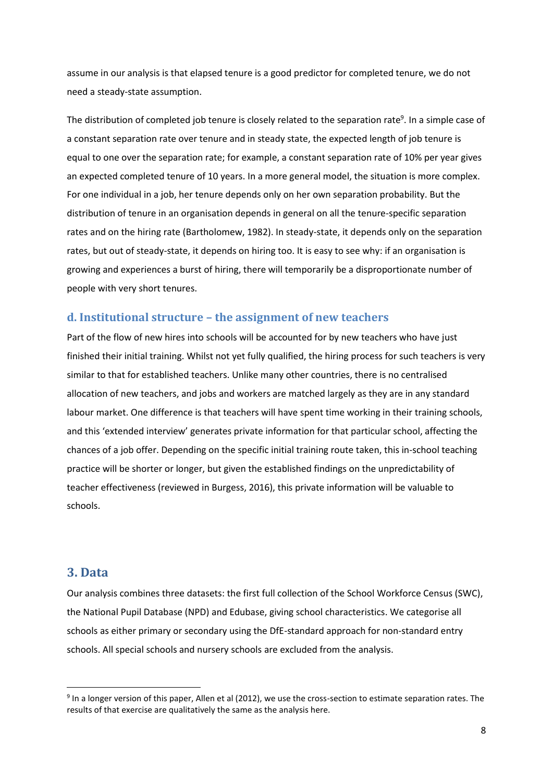assume in our analysis is that elapsed tenure is a good predictor for completed tenure, we do not need a steady-state assumption.

The distribution of completed job tenure is closely related to the separation rate<sup>9</sup>. In a simple case of a constant separation rate over tenure and in steady state, the expected length of job tenure is equal to one over the separation rate; for example, a constant separation rate of 10% per year gives an expected completed tenure of 10 years. In a more general model, the situation is more complex. For one individual in a job, her tenure depends only on her own separation probability. But the distribution of tenure in an organisation depends in general on all the tenure-specific separation rates and on the hiring rate (Bartholomew, 1982). In steady-state, it depends only on the separation rates, but out of steady-state, it depends on hiring too. It is easy to see why: if an organisation is growing and experiences a burst of hiring, there will temporarily be a disproportionate number of people with very short tenures.

#### **d. Institutional structure – the assignment of new teachers**

Part of the flow of new hires into schools will be accounted for by new teachers who have just finished their initial training. Whilst not yet fully qualified, the hiring process for such teachers is very similar to that for established teachers. Unlike many other countries, there is no centralised allocation of new teachers, and jobs and workers are matched largely as they are in any standard labour market. One difference is that teachers will have spent time working in their training schools, and this 'extended interview' generates private information for that particular school, affecting the chances of a job offer. Depending on the specific initial training route taken, this in-school teaching practice will be shorter or longer, but given the established findings on the unpredictability of teacher effectiveness (reviewed in Burgess, 2016), this private information will be valuable to schools.

#### **3. Data**

1

Our analysis combines three datasets: the first full collection of the School Workforce Census (SWC), the National Pupil Database (NPD) and Edubase, giving school characteristics. We categorise all schools as either primary or secondary using the DfE-standard approach for non-standard entry schools. All special schools and nursery schools are excluded from the analysis.

<sup>&</sup>lt;sup>9</sup> In a longer version of this paper, Allen et al (2012), we use the cross-section to estimate separation rates. The results of that exercise are qualitatively the same as the analysis here.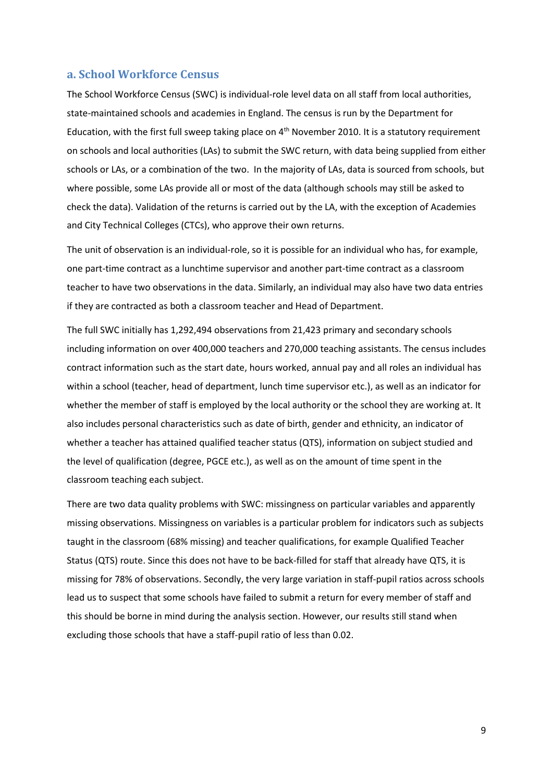#### **a. School Workforce Census**

The School Workforce Census (SWC) is individual-role level data on all staff from local authorities, state-maintained schools and academies in England. The census is run by the Department for Education, with the first full sweep taking place on  $4<sup>th</sup>$  November 2010. It is a statutory requirement on schools and local authorities (LAs) to submit the SWC return, with data being supplied from either schools or LAs, or a combination of the two. In the majority of LAs, data is sourced from schools, but where possible, some LAs provide all or most of the data (although schools may still be asked to check the data). Validation of the returns is carried out by the LA, with the exception of Academies and City Technical Colleges (CTCs), who approve their own returns.

The unit of observation is an individual-role, so it is possible for an individual who has, for example, one part-time contract as a lunchtime supervisor and another part-time contract as a classroom teacher to have two observations in the data. Similarly, an individual may also have two data entries if they are contracted as both a classroom teacher and Head of Department.

The full SWC initially has 1,292,494 observations from 21,423 primary and secondary schools including information on over 400,000 teachers and 270,000 teaching assistants. The census includes contract information such as the start date, hours worked, annual pay and all roles an individual has within a school (teacher, head of department, lunch time supervisor etc.), as well as an indicator for whether the member of staff is employed by the local authority or the school they are working at. It also includes personal characteristics such as date of birth, gender and ethnicity, an indicator of whether a teacher has attained qualified teacher status (QTS), information on subject studied and the level of qualification (degree, PGCE etc.), as well as on the amount of time spent in the classroom teaching each subject.

There are two data quality problems with SWC: missingness on particular variables and apparently missing observations. Missingness on variables is a particular problem for indicators such as subjects taught in the classroom (68% missing) and teacher qualifications, for example Qualified Teacher Status (QTS) route. Since this does not have to be back-filled for staff that already have QTS, it is missing for 78% of observations. Secondly, the very large variation in staff-pupil ratios across schools lead us to suspect that some schools have failed to submit a return for every member of staff and this should be borne in mind during the analysis section. However, our results still stand when excluding those schools that have a staff-pupil ratio of less than 0.02.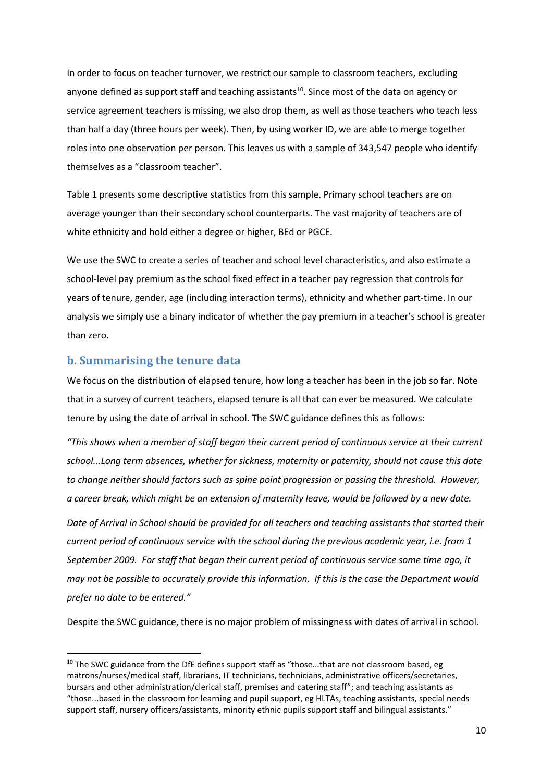In order to focus on teacher turnover, we restrict our sample to classroom teachers, excluding anyone defined as support staff and teaching assistants<sup>10</sup>. Since most of the data on agency or service agreement teachers is missing, we also drop them, as well as those teachers who teach less than half a day (three hours per week). Then, by using worker ID, we are able to merge together roles into one observation per person. This leaves us with a sample of 343,547 people who identify themselves as a "classroom teacher".

Table 1 presents some descriptive statistics from this sample. Primary school teachers are on average younger than their secondary school counterparts. The vast majority of teachers are of white ethnicity and hold either a degree or higher, BEd or PGCE.

We use the SWC to create a series of teacher and school level characteristics, and also estimate a school-level pay premium as the school fixed effect in a teacher pay regression that controls for years of tenure, gender, age (including interaction terms), ethnicity and whether part-time. In our analysis we simply use a binary indicator of whether the pay premium in a teacher's school is greater than zero.

#### **b. Summarising the tenure data**

**.** 

We focus on the distribution of elapsed tenure, how long a teacher has been in the job so far. Note that in a survey of current teachers, elapsed tenure is all that can ever be measured. We calculate tenure by using the date of arrival in school. The SWC guidance defines this as follows:

*"This shows when a member of staff began their current period of continuous service at their current school...Long term absences, whether for sickness, maternity or paternity, should not cause this date to change neither should factors such as spine point progression or passing the threshold. However, a career break, which might be an extension of maternity leave, would be followed by a new date.* 

*Date of Arrival in School should be provided for all teachers and teaching assistants that started their current period of continuous service with the school during the previous academic year, i.e. from 1 September 2009. For staff that began their current period of continuous service some time ago, it may not be possible to accurately provide this information. If this is the case the Department would prefer no date to be entered."*

Despite the SWC guidance, there is no major problem of missingness with dates of arrival in school.

 $10$  The SWC guidance from the DfE defines support staff as "those...that are not classroom based, eg matrons/nurses/medical staff, librarians, IT technicians, technicians, administrative officers/secretaries, bursars and other administration/clerical staff, premises and catering staff"; and teaching assistants as "those...based in the classroom for learning and pupil support, eg HLTAs, teaching assistants, special needs support staff, nursery officers/assistants, minority ethnic pupils support staff and bilingual assistants."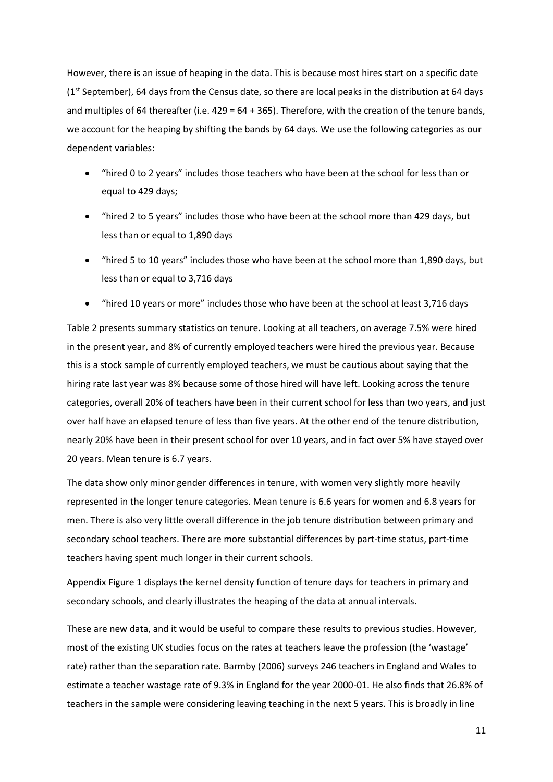However, there is an issue of heaping in the data. This is because most hires start on a specific date  $(1<sup>st</sup> September)$ , 64 days from the Census date, so there are local peaks in the distribution at 64 days and multiples of 64 thereafter (i.e. 429 = 64 + 365). Therefore, with the creation of the tenure bands, we account for the heaping by shifting the bands by 64 days. We use the following categories as our dependent variables:

- "hired 0 to 2 years" includes those teachers who have been at the school for less than or equal to 429 days;
- "hired 2 to 5 years" includes those who have been at the school more than 429 days, but less than or equal to 1,890 days
- "hired 5 to 10 years" includes those who have been at the school more than 1,890 days, but less than or equal to 3,716 days
- "hired 10 years or more" includes those who have been at the school at least 3,716 days

Table 2 presents summary statistics on tenure. Looking at all teachers, on average 7.5% were hired in the present year, and 8% of currently employed teachers were hired the previous year. Because this is a stock sample of currently employed teachers, we must be cautious about saying that the hiring rate last year was 8% because some of those hired will have left. Looking across the tenure categories, overall 20% of teachers have been in their current school for less than two years, and just over half have an elapsed tenure of less than five years. At the other end of the tenure distribution, nearly 20% have been in their present school for over 10 years, and in fact over 5% have stayed over 20 years. Mean tenure is 6.7 years.

The data show only minor gender differences in tenure, with women very slightly more heavily represented in the longer tenure categories. Mean tenure is 6.6 years for women and 6.8 years for men. There is also very little overall difference in the job tenure distribution between primary and secondary school teachers. There are more substantial differences by part-time status, part-time teachers having spent much longer in their current schools.

Appendix Figure 1 displays the kernel density function of tenure days for teachers in primary and secondary schools, and clearly illustrates the heaping of the data at annual intervals.

These are new data, and it would be useful to compare these results to previous studies. However, most of the existing UK studies focus on the rates at teachers leave the profession (the 'wastage' rate) rather than the separation rate. Barmby (2006) surveys 246 teachers in England and Wales to estimate a teacher wastage rate of 9.3% in England for the year 2000-01. He also finds that 26.8% of teachers in the sample were considering leaving teaching in the next 5 years. This is broadly in line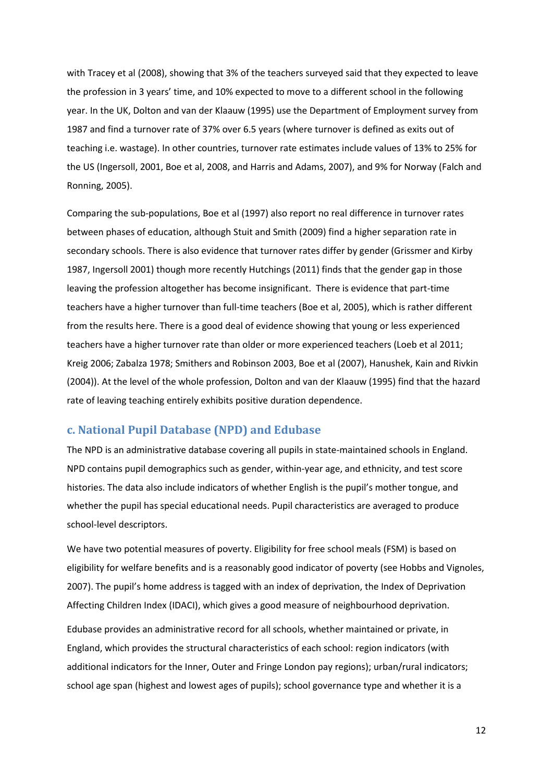with Tracey et al (2008), showing that 3% of the teachers surveyed said that they expected to leave the profession in 3 years' time, and 10% expected to move to a different school in the following year. In the UK, Dolton and van der Klaauw (1995) use the Department of Employment survey from 1987 and find a turnover rate of 37% over 6.5 years (where turnover is defined as exits out of teaching i.e. wastage). In other countries, turnover rate estimates include values of 13% to 25% for the US (Ingersoll, 2001, Boe et al, 2008, and Harris and Adams, 2007), and 9% for Norway (Falch and Ronning, 2005).

Comparing the sub-populations, Boe et al (1997) also report no real difference in turnover rates between phases of education, although Stuit and Smith (2009) find a higher separation rate in secondary schools. There is also evidence that turnover rates differ by gender (Grissmer and Kirby 1987, Ingersoll 2001) though more recently Hutchings (2011) finds that the gender gap in those leaving the profession altogether has become insignificant. There is evidence that part-time teachers have a higher turnover than full-time teachers (Boe et al, 2005), which is rather different from the results here. There is a good deal of evidence showing that young or less experienced teachers have a higher turnover rate than older or more experienced teachers (Loeb et al 2011; Kreig 2006; Zabalza 1978; Smithers and Robinson 2003, Boe et al (2007), Hanushek, Kain and Rivkin (2004)). At the level of the whole profession, Dolton and van der Klaauw (1995) find that the hazard rate of leaving teaching entirely exhibits positive duration dependence.

#### **c. National Pupil Database (NPD) and Edubase**

The NPD is an administrative database covering all pupils in state-maintained schools in England. NPD contains pupil demographics such as gender, within-year age, and ethnicity, and test score histories. The data also include indicators of whether English is the pupil's mother tongue, and whether the pupil has special educational needs. Pupil characteristics are averaged to produce school-level descriptors.

We have two potential measures of poverty. Eligibility for free school meals (FSM) is based on eligibility for welfare benefits and is a reasonably good indicator of poverty (see Hobbs and Vignoles, 2007). The pupil's home address is tagged with an index of deprivation, the Index of Deprivation Affecting Children Index (IDACI), which gives a good measure of neighbourhood deprivation.

Edubase provides an administrative record for all schools, whether maintained or private, in England, which provides the structural characteristics of each school: region indicators (with additional indicators for the Inner, Outer and Fringe London pay regions); urban/rural indicators; school age span (highest and lowest ages of pupils); school governance type and whether it is a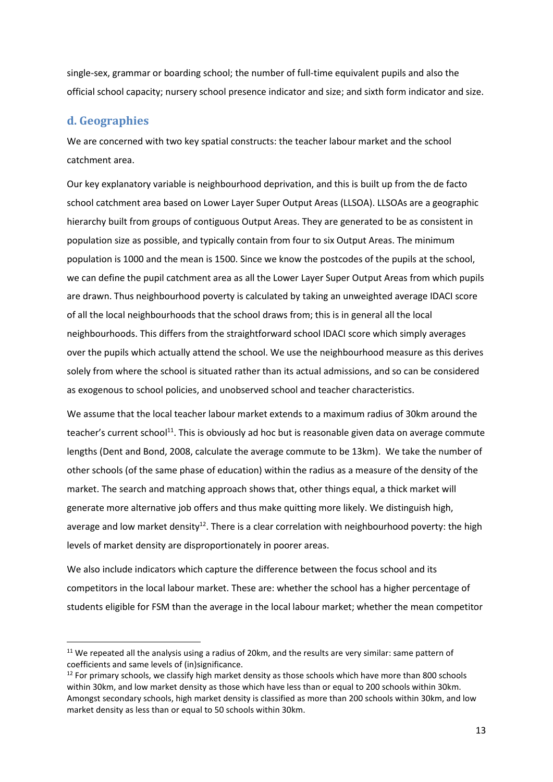single-sex, grammar or boarding school; the number of full-time equivalent pupils and also the official school capacity; nursery school presence indicator and size; and sixth form indicator and size.

#### **d. Geographies**

**.** 

We are concerned with two key spatial constructs: the teacher labour market and the school catchment area.

Our key explanatory variable is neighbourhood deprivation, and this is built up from the de facto school catchment area based on Lower Layer Super Output Areas (LLSOA). LLSOAs are a geographic hierarchy built from groups of contiguous Output Areas. They are generated to be as consistent in population size as possible, and typically contain from four to six Output Areas. The minimum population is 1000 and the mean is 1500. Since we know the postcodes of the pupils at the school, we can define the pupil catchment area as all the Lower Layer Super Output Areas from which pupils are drawn. Thus neighbourhood poverty is calculated by taking an unweighted average IDACI score of all the local neighbourhoods that the school draws from; this is in general all the local neighbourhoods. This differs from the straightforward school IDACI score which simply averages over the pupils which actually attend the school. We use the neighbourhood measure as this derives solely from where the school is situated rather than its actual admissions, and so can be considered as exogenous to school policies, and unobserved school and teacher characteristics.

We assume that the local teacher labour market extends to a maximum radius of 30km around the teacher's current school<sup>11</sup>. This is obviously ad hoc but is reasonable given data on average commute lengths (Dent and Bond, 2008, calculate the average commute to be 13km). We take the number of other schools (of the same phase of education) within the radius as a measure of the density of the market. The search and matching approach shows that, other things equal, a thick market will generate more alternative job offers and thus make quitting more likely. We distinguish high, average and low market density<sup>12</sup>. There is a clear correlation with neighbourhood poverty: the high levels of market density are disproportionately in poorer areas.

We also include indicators which capture the difference between the focus school and its competitors in the local labour market. These are: whether the school has a higher percentage of students eligible for FSM than the average in the local labour market; whether the mean competitor

 $11$  We repeated all the analysis using a radius of 20km, and the results are very similar: same pattern of coefficients and same levels of (in)significance.

<sup>&</sup>lt;sup>12</sup> For primary schools, we classify high market density as those schools which have more than 800 schools within 30km, and low market density as those which have less than or equal to 200 schools within 30km. Amongst secondary schools, high market density is classified as more than 200 schools within 30km, and low market density as less than or equal to 50 schools within 30km.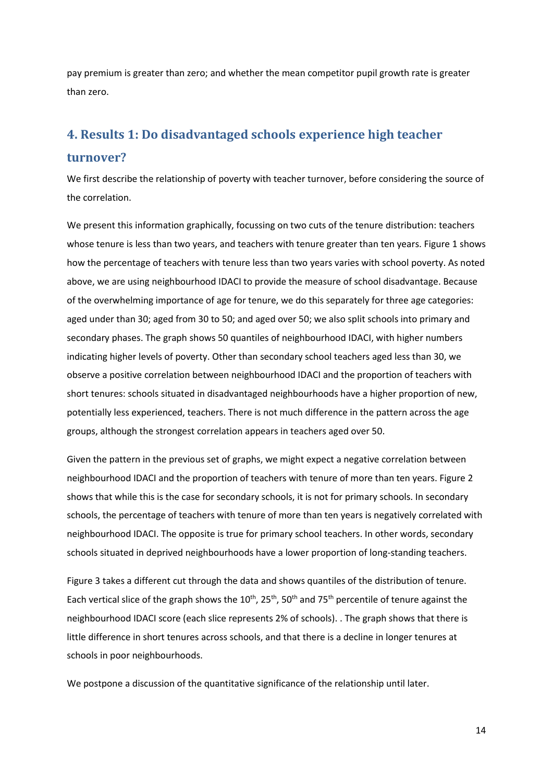pay premium is greater than zero; and whether the mean competitor pupil growth rate is greater than zero.

# **4. Results 1: Do disadvantaged schools experience high teacher turnover?**

We first describe the relationship of poverty with teacher turnover, before considering the source of the correlation.

We present this information graphically, focussing on two cuts of the tenure distribution: teachers whose tenure is less than two years, and teachers with tenure greater than ten years. Figure 1 shows how the percentage of teachers with tenure less than two years varies with school poverty. As noted above, we are using neighbourhood IDACI to provide the measure of school disadvantage. Because of the overwhelming importance of age for tenure, we do this separately for three age categories: aged under than 30; aged from 30 to 50; and aged over 50; we also split schools into primary and secondary phases. The graph shows 50 quantiles of neighbourhood IDACI, with higher numbers indicating higher levels of poverty. Other than secondary school teachers aged less than 30, we observe a positive correlation between neighbourhood IDACI and the proportion of teachers with short tenures: schools situated in disadvantaged neighbourhoods have a higher proportion of new, potentially less experienced, teachers. There is not much difference in the pattern across the age groups, although the strongest correlation appears in teachers aged over 50.

Given the pattern in the previous set of graphs, we might expect a negative correlation between neighbourhood IDACI and the proportion of teachers with tenure of more than ten years. Figure 2 shows that while this is the case for secondary schools, it is not for primary schools. In secondary schools, the percentage of teachers with tenure of more than ten years is negatively correlated with neighbourhood IDACI. The opposite is true for primary school teachers. In other words, secondary schools situated in deprived neighbourhoods have a lower proportion of long-standing teachers.

Figure 3 takes a different cut through the data and shows quantiles of the distribution of tenure. Each vertical slice of the graph shows the  $10^{th}$ ,  $25^{th}$ ,  $50^{th}$  and  $75^{th}$  percentile of tenure against the neighbourhood IDACI score (each slice represents 2% of schools). . The graph shows that there is little difference in short tenures across schools, and that there is a decline in longer tenures at schools in poor neighbourhoods.

We postpone a discussion of the quantitative significance of the relationship until later.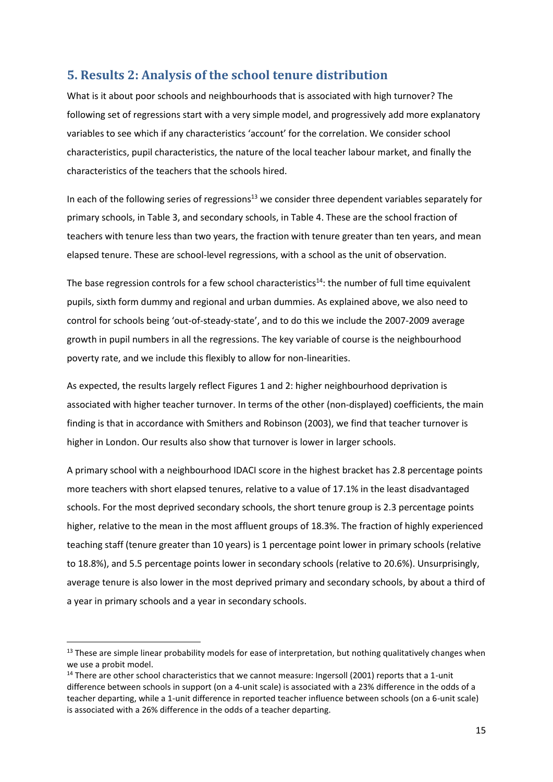## **5. Results 2: Analysis of the school tenure distribution**

What is it about poor schools and neighbourhoods that is associated with high turnover? The following set of regressions start with a very simple model, and progressively add more explanatory variables to see which if any characteristics 'account' for the correlation. We consider school characteristics, pupil characteristics, the nature of the local teacher labour market, and finally the characteristics of the teachers that the schools hired.

In each of the following series of regressions<sup>13</sup> we consider three dependent variables separately for primary schools, in Table 3, and secondary schools, in Table 4. These are the school fraction of teachers with tenure less than two years, the fraction with tenure greater than ten years, and mean elapsed tenure. These are school-level regressions, with a school as the unit of observation.

The base regression controls for a few school characteristics<sup>14</sup>: the number of full time equivalent pupils, sixth form dummy and regional and urban dummies. As explained above, we also need to control for schools being 'out-of-steady-state', and to do this we include the 2007-2009 average growth in pupil numbers in all the regressions. The key variable of course is the neighbourhood poverty rate, and we include this flexibly to allow for non-linearities.

As expected, the results largely reflect Figures 1 and 2: higher neighbourhood deprivation is associated with higher teacher turnover. In terms of the other (non-displayed) coefficients, the main finding is that in accordance with Smithers and Robinson (2003), we find that teacher turnover is higher in London. Our results also show that turnover is lower in larger schools.

A primary school with a neighbourhood IDACI score in the highest bracket has 2.8 percentage points more teachers with short elapsed tenures, relative to a value of 17.1% in the least disadvantaged schools. For the most deprived secondary schools, the short tenure group is 2.3 percentage points higher, relative to the mean in the most affluent groups of 18.3%. The fraction of highly experienced teaching staff (tenure greater than 10 years) is 1 percentage point lower in primary schools (relative to 18.8%), and 5.5 percentage points lower in secondary schools (relative to 20.6%). Unsurprisingly, average tenure is also lower in the most deprived primary and secondary schools, by about a third of a year in primary schools and a year in secondary schools.

**.** 

 $13$  These are simple linear probability models for ease of interpretation, but nothing qualitatively changes when we use a probit model.

 $14$  There are other school characteristics that we cannot measure: Ingersoll (2001) reports that a 1-unit difference between schools in support (on a 4-unit scale) is associated with a 23% difference in the odds of a teacher departing, while a 1-unit difference in reported teacher influence between schools (on a 6-unit scale) is associated with a 26% difference in the odds of a teacher departing.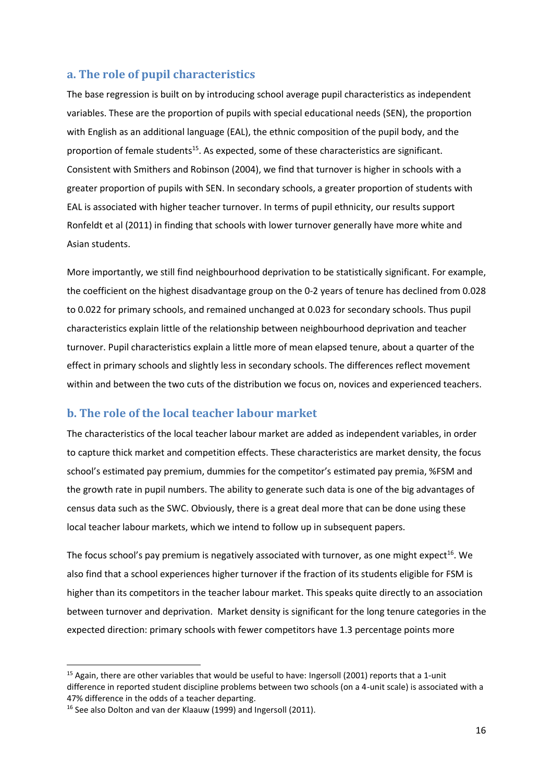#### **a. The role of pupil characteristics**

The base regression is built on by introducing school average pupil characteristics as independent variables. These are the proportion of pupils with special educational needs (SEN), the proportion with English as an additional language (EAL), the ethnic composition of the pupil body, and the proportion of female students<sup>15</sup>. As expected, some of these characteristics are significant. Consistent with Smithers and Robinson (2004), we find that turnover is higher in schools with a greater proportion of pupils with SEN. In secondary schools, a greater proportion of students with EAL is associated with higher teacher turnover. In terms of pupil ethnicity, our results support Ronfeldt et al (2011) in finding that schools with lower turnover generally have more white and Asian students.

More importantly, we still find neighbourhood deprivation to be statistically significant. For example, the coefficient on the highest disadvantage group on the 0-2 years of tenure has declined from 0.028 to 0.022 for primary schools, and remained unchanged at 0.023 for secondary schools. Thus pupil characteristics explain little of the relationship between neighbourhood deprivation and teacher turnover. Pupil characteristics explain a little more of mean elapsed tenure, about a quarter of the effect in primary schools and slightly less in secondary schools. The differences reflect movement within and between the two cuts of the distribution we focus on, novices and experienced teachers.

#### **b. The role of the local teacher labour market**

The characteristics of the local teacher labour market are added as independent variables, in order to capture thick market and competition effects. These characteristics are market density, the focus school's estimated pay premium, dummies for the competitor's estimated pay premia, %FSM and the growth rate in pupil numbers. The ability to generate such data is one of the big advantages of census data such as the SWC. Obviously, there is a great deal more that can be done using these local teacher labour markets, which we intend to follow up in subsequent papers.

The focus school's pay premium is negatively associated with turnover, as one might expect<sup>16</sup>. We also find that a school experiences higher turnover if the fraction of its students eligible for FSM is higher than its competitors in the teacher labour market. This speaks quite directly to an association between turnover and deprivation. Market density is significant for the long tenure categories in the expected direction: primary schools with fewer competitors have 1.3 percentage points more

1

<sup>&</sup>lt;sup>15</sup> Again, there are other variables that would be useful to have: Ingersoll (2001) reports that a 1-unit difference in reported student discipline problems between two schools (on a 4-unit scale) is associated with a 47% difference in the odds of a teacher departing.

<sup>&</sup>lt;sup>16</sup> See also Dolton and van der Klaauw (1999) and Ingersoll (2011).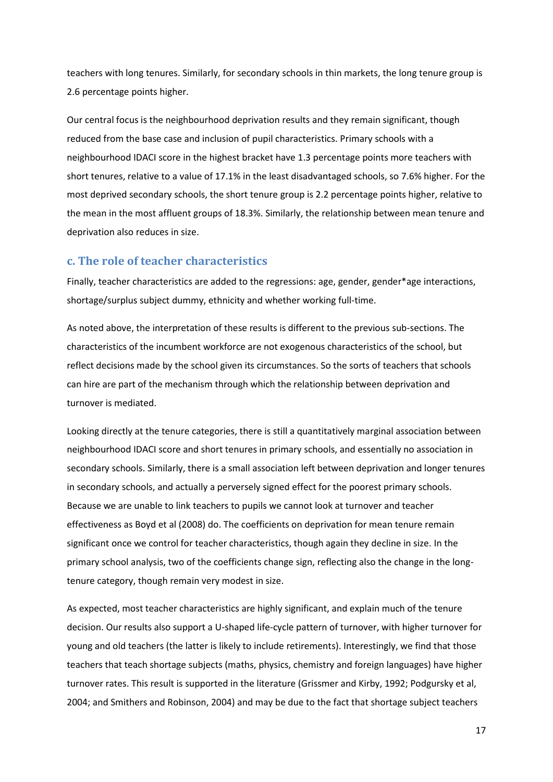teachers with long tenures. Similarly, for secondary schools in thin markets, the long tenure group is 2.6 percentage points higher.

Our central focus is the neighbourhood deprivation results and they remain significant, though reduced from the base case and inclusion of pupil characteristics. Primary schools with a neighbourhood IDACI score in the highest bracket have 1.3 percentage points more teachers with short tenures, relative to a value of 17.1% in the least disadvantaged schools, so 7.6% higher. For the most deprived secondary schools, the short tenure group is 2.2 percentage points higher, relative to the mean in the most affluent groups of 18.3%. Similarly, the relationship between mean tenure and deprivation also reduces in size.

#### **c. The role of teacher characteristics**

Finally, teacher characteristics are added to the regressions: age, gender, gender\*age interactions, shortage/surplus subject dummy, ethnicity and whether working full-time.

As noted above, the interpretation of these results is different to the previous sub-sections. The characteristics of the incumbent workforce are not exogenous characteristics of the school, but reflect decisions made by the school given its circumstances. So the sorts of teachers that schools can hire are part of the mechanism through which the relationship between deprivation and turnover is mediated.

Looking directly at the tenure categories, there is still a quantitatively marginal association between neighbourhood IDACI score and short tenures in primary schools, and essentially no association in secondary schools. Similarly, there is a small association left between deprivation and longer tenures in secondary schools, and actually a perversely signed effect for the poorest primary schools. Because we are unable to link teachers to pupils we cannot look at turnover and teacher effectiveness as Boyd et al (2008) do. The coefficients on deprivation for mean tenure remain significant once we control for teacher characteristics, though again they decline in size. In the primary school analysis, two of the coefficients change sign, reflecting also the change in the longtenure category, though remain very modest in size.

As expected, most teacher characteristics are highly significant, and explain much of the tenure decision. Our results also support a U-shaped life-cycle pattern of turnover, with higher turnover for young and old teachers (the latter is likely to include retirements). Interestingly, we find that those teachers that teach shortage subjects (maths, physics, chemistry and foreign languages) have higher turnover rates. This result is supported in the literature (Grissmer and Kirby, 1992; Podgursky et al, 2004; and Smithers and Robinson, 2004) and may be due to the fact that shortage subject teachers

17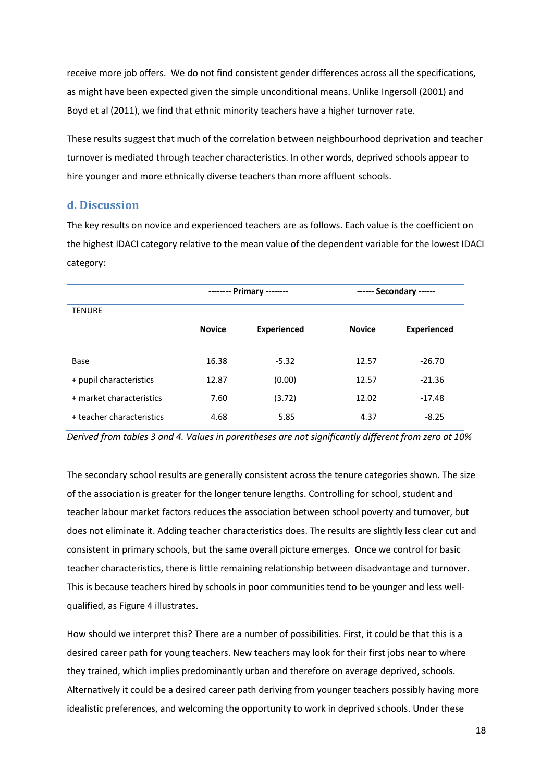receive more job offers. We do not find consistent gender differences across all the specifications, as might have been expected given the simple unconditional means. Unlike Ingersoll (2001) and Boyd et al (2011), we find that ethnic minority teachers have a higher turnover rate.

These results suggest that much of the correlation between neighbourhood deprivation and teacher turnover is mediated through teacher characteristics. In other words, deprived schools appear to hire younger and more ethnically diverse teachers than more affluent schools.

#### **d. Discussion**

The key results on novice and experienced teachers are as follows. Each value is the coefficient on the highest IDACI category relative to the mean value of the dependent variable for the lowest IDACI category:

|                           | $---$         | --- Primary -------- |               | -- Secondary ------ |  |  |  |
|---------------------------|---------------|----------------------|---------------|---------------------|--|--|--|
| <b>TENURE</b>             |               |                      |               |                     |  |  |  |
|                           | <b>Novice</b> | <b>Experienced</b>   | <b>Novice</b> | <b>Experienced</b>  |  |  |  |
|                           |               |                      |               |                     |  |  |  |
| Base                      | 16.38         | $-5.32$              | 12.57         | $-26.70$            |  |  |  |
| + pupil characteristics   | 12.87         | (0.00)               | 12.57         | $-21.36$            |  |  |  |
| + market characteristics  | 7.60          | (3.72)               | 12.02         | $-17.48$            |  |  |  |
| + teacher characteristics | 4.68          | 5.85                 | 4.37          | $-8.25$             |  |  |  |

*Derived from tables 3 and 4. Values in parentheses are not significantly different from zero at 10%*

The secondary school results are generally consistent across the tenure categories shown. The size of the association is greater for the longer tenure lengths. Controlling for school, student and teacher labour market factors reduces the association between school poverty and turnover, but does not eliminate it. Adding teacher characteristics does. The results are slightly less clear cut and consistent in primary schools, but the same overall picture emerges. Once we control for basic teacher characteristics, there is little remaining relationship between disadvantage and turnover. This is because teachers hired by schools in poor communities tend to be younger and less wellqualified, as Figure 4 illustrates.

How should we interpret this? There are a number of possibilities. First, it could be that this is a desired career path for young teachers. New teachers may look for their first jobs near to where they trained, which implies predominantly urban and therefore on average deprived, schools. Alternatively it could be a desired career path deriving from younger teachers possibly having more idealistic preferences, and welcoming the opportunity to work in deprived schools. Under these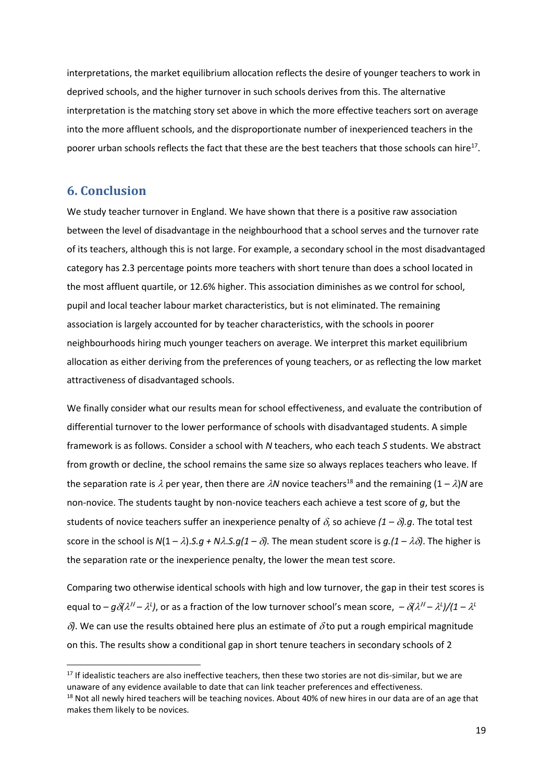interpretations, the market equilibrium allocation reflects the desire of younger teachers to work in deprived schools, and the higher turnover in such schools derives from this. The alternative interpretation is the matching story set above in which the more effective teachers sort on average into the more affluent schools, and the disproportionate number of inexperienced teachers in the poorer urban schools reflects the fact that these are the best teachers that those schools can hire<sup>17</sup>.

#### **6. Conclusion**

1

We study teacher turnover in England. We have shown that there is a positive raw association between the level of disadvantage in the neighbourhood that a school serves and the turnover rate of its teachers, although this is not large. For example, a secondary school in the most disadvantaged category has 2.3 percentage points more teachers with short tenure than does a school located in the most affluent quartile, or 12.6% higher. This association diminishes as we control for school, pupil and local teacher labour market characteristics, but is not eliminated. The remaining association is largely accounted for by teacher characteristics, with the schools in poorer neighbourhoods hiring much younger teachers on average. We interpret this market equilibrium allocation as either deriving from the preferences of young teachers, or as reflecting the low market attractiveness of disadvantaged schools.

We finally consider what our results mean for school effectiveness, and evaluate the contribution of differential turnover to the lower performance of schools with disadvantaged students. A simple framework is as follows. Consider a school with *N* teachers, who each teach *S* students. We abstract from growth or decline, the school remains the same size so always replaces teachers who leave. If the separation rate is  $\lambda$  per year, then there are  $\lambda N$  novice teachers<sup>18</sup> and the remaining  $(1 - \lambda)N$  are non-novice. The students taught by non-novice teachers each achieve a test score of *g*, but the students of novice teachers suffer an inexperience penalty of  $\delta$ , so achieve  $(1 - \delta)q$ . The total test score in the school is  $N(1 - \lambda)$ . S.g +  $N\lambda$ . S.g(1 –  $\delta$ ). The mean student score is g.(1 –  $\lambda \delta$ ). The higher is the separation rate or the inexperience penalty, the lower the mean test score.

Comparing two otherwise identical schools with high and low turnover, the gap in their test scores is equal to  $-g\,\partial\! (\lambda^H\! -\lambda^L\!)$ , or as a fraction of the low turnover school's mean score,  $-\,\partial\! (\lambda^H\! -\lambda^L\!)/ (1-\lambda^L\!$  $\delta$ . We can use the results obtained here plus an estimate of  $\delta$  to put a rough empirical magnitude on this. The results show a conditional gap in short tenure teachers in secondary schools of 2

<sup>&</sup>lt;sup>17</sup> If idealistic teachers are also ineffective teachers, then these two stories are not dis-similar, but we are unaware of any evidence available to date that can link teacher preferences and effectiveness. <sup>18</sup> Not all newly hired teachers will be teaching novices. About 40% of new hires in our data are of an age that makes them likely to be novices.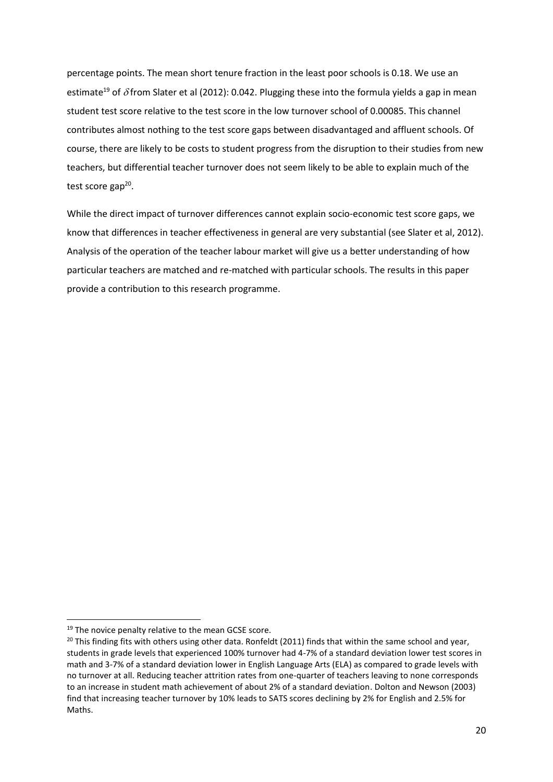percentage points. The mean short tenure fraction in the least poor schools is 0.18. We use an estimate<sup>19</sup> of  $\delta$  from Slater et al (2012): 0.042. Plugging these into the formula yields a gap in mean student test score relative to the test score in the low turnover school of 0.00085. This channel contributes almost nothing to the test score gaps between disadvantaged and affluent schools. Of course, there are likely to be costs to student progress from the disruption to their studies from new teachers, but differential teacher turnover does not seem likely to be able to explain much of the test score gap<sup>20</sup>.

While the direct impact of turnover differences cannot explain socio-economic test score gaps, we know that differences in teacher effectiveness in general are very substantial (see Slater et al, 2012). Analysis of the operation of the teacher labour market will give us a better understanding of how particular teachers are matched and re-matched with particular schools. The results in this paper provide a contribution to this research programme.

1

<sup>&</sup>lt;sup>19</sup> The novice penalty relative to the mean GCSE score.

 $20$  This finding fits with others using other data. Ronfeldt (2011) finds that within the same school and year, students in grade levels that experienced 100% turnover had 4-7% of a standard deviation lower test scores in math and 3-7% of a standard deviation lower in English Language Arts (ELA) as compared to grade levels with no turnover at all. Reducing teacher attrition rates from one-quarter of teachers leaving to none corresponds to an increase in student math achievement of about 2% of a standard deviation. Dolton and Newson (2003) find that increasing teacher turnover by 10% leads to SATS scores declining by 2% for English and 2.5% for Maths.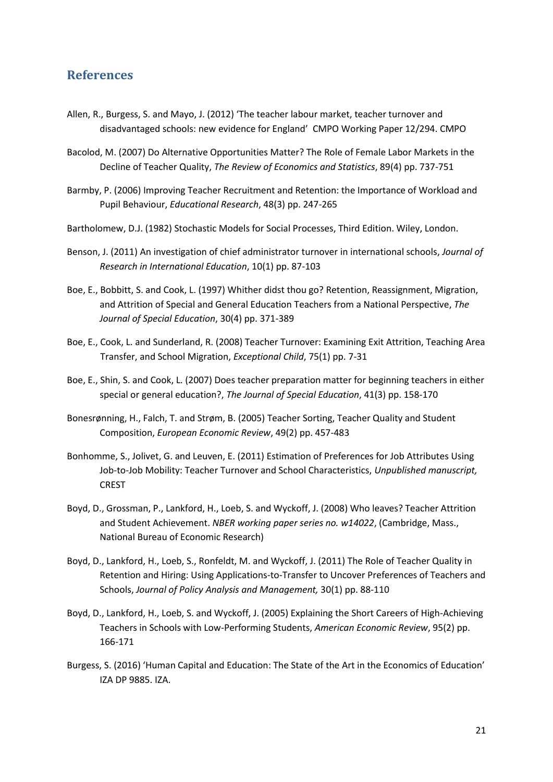#### **References**

- Allen, R., Burgess, S. and Mayo, J. (2012) 'The teacher labour market, teacher turnover and disadvantaged schools: new evidence for England' CMPO Working Paper 12/294. CMPO
- Bacolod, M. (2007) Do Alternative Opportunities Matter? The Role of Female Labor Markets in the Decline of Teacher Quality, *The Review of Economics and Statistics*, 89(4) pp. 737-751
- Barmby, P. (2006) Improving Teacher Recruitment and Retention: the Importance of Workload and Pupil Behaviour, *Educational Research*, 48(3) pp. 247-265
- Bartholomew, D.J. (1982) Stochastic Models for Social Processes, Third Edition. Wiley, London.
- Benson, J. (2011) An investigation of chief administrator turnover in international schools, *Journal of Research in International Education*, 10(1) pp. 87-103
- Boe, E., Bobbitt, S. and Cook, L. (1997) Whither didst thou go? Retention, Reassignment, Migration, and Attrition of Special and General Education Teachers from a National Perspective, *The Journal of Special Education*, 30(4) pp. 371-389
- Boe, E., Cook, L. and Sunderland, R. (2008) Teacher Turnover: Examining Exit Attrition, Teaching Area Transfer, and School Migration, *Exceptional Child*, 75(1) pp. 7-31
- Boe, E., Shin, S. and Cook, L. (2007) Does teacher preparation matter for beginning teachers in either special or general education?, *The Journal of Special Education*, 41(3) pp. 158-170
- Bonesrønning, H., Falch, T. and Strøm, B. (2005) Teacher Sorting, Teacher Quality and Student Composition, *European Economic Review*, 49(2) pp. 457-483
- Bonhomme, S., Jolivet, G. and Leuven, E. (2011) Estimation of Preferences for Job Attributes Using Job-to-Job Mobility: Teacher Turnover and School Characteristics, *Unpublished manuscript,*  **CREST**
- Boyd, D., Grossman, P., Lankford, H., Loeb, S. and Wyckoff, J. (2008) Who leaves? Teacher Attrition and Student Achievement. *NBER working paper series no. w14022*, (Cambridge, Mass., National Bureau of Economic Research)
- Boyd, D., Lankford, H., Loeb, S., Ronfeldt, M. and Wyckoff, J. (2011) The Role of Teacher Quality in Retention and Hiring: Using Applications-to-Transfer to Uncover Preferences of Teachers and Schools, *Journal of Policy Analysis and Management,* 30(1) pp. 88-110
- Boyd, D., Lankford, H., Loeb, S. and Wyckoff, J. (2005) Explaining the Short Careers of High-Achieving Teachers in Schools with Low-Performing Students, *American Economic Review*, 95(2) pp. 166-171
- Burgess, S. (2016) 'Human Capital and Education: The State of the Art in the Economics of Education' IZA DP 9885. IZA.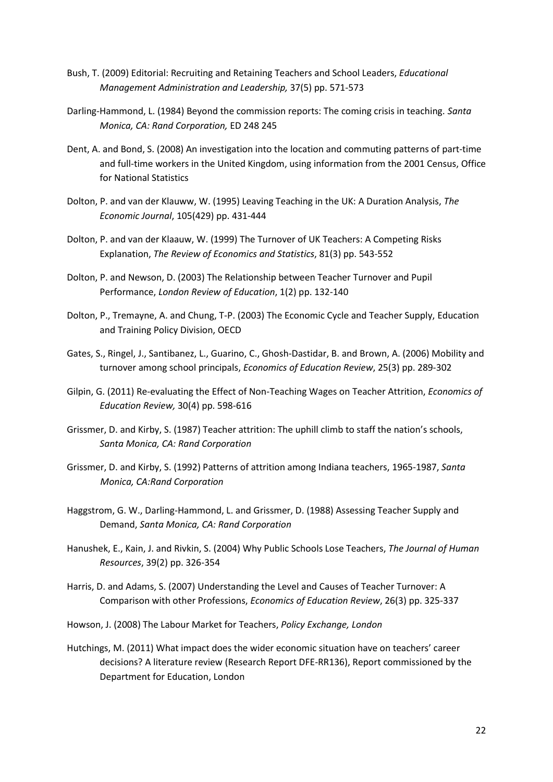- Bush, T. (2009) Editorial: Recruiting and Retaining Teachers and School Leaders, *Educational Management Administration and Leadership,* 37(5) pp. 571-573
- Darling-Hammond, L. (1984) Beyond the commission reports: The coming crisis in teaching. *Santa Monica, CA: Rand Corporation,* ED 248 245
- Dent, A. and Bond, S. (2008) An investigation into the location and commuting patterns of part-time and full-time workers in the United Kingdom, using information from the 2001 Census, Office for National Statistics
- Dolton, P. and van der Klauww, W. (1995) Leaving Teaching in the UK: A Duration Analysis, *The Economic Journal*, 105(429) pp. 431-444
- Dolton, P. and van der Klaauw, W. (1999) The Turnover of UK Teachers: A Competing Risks Explanation, *The Review of Economics and Statistics*, 81(3) pp. 543-552
- Dolton, P. and Newson, D. (2003) The Relationship between Teacher Turnover and Pupil Performance, *London Review of Education*, 1(2) pp. 132‐140
- Dolton, P., Tremayne, A. and Chung, T-P. (2003) The Economic Cycle and Teacher Supply, Education and Training Policy Division, OECD
- Gates, S., Ringel, J., Santibanez, L., Guarino, C., Ghosh-Dastidar, B. and Brown, A. (2006) Mobility and turnover among school principals, *Economics of Education Review*, 25(3) pp. 289-302
- Gilpin, G. (2011) Re-evaluating the Effect of Non-Teaching Wages on Teacher Attrition, *Economics of Education Review,* 30(4) pp. 598-616
- Grissmer, D. and Kirby, S. (1987) Teacher attrition: The uphill climb to staff the nation's schools, *Santa Monica, CA: Rand Corporation*
- Grissmer, D. and Kirby, S. (1992) Patterns of attrition among Indiana teachers, 1965-1987, *Santa Monica, CA:Rand Corporation*
- Haggstrom, G. W., Darling-Hammond, L. and Grissmer, D. (1988) Assessing Teacher Supply and Demand, *Santa Monica, CA: Rand Corporation*
- Hanushek, E., Kain, J. and Rivkin, S. (2004) Why Public Schools Lose Teachers, *The Journal of Human Resources*, 39(2) pp. 326-354
- Harris, D. and Adams, S. (2007) Understanding the Level and Causes of Teacher Turnover: A Comparison with other Professions, *Economics of Education Review*, 26(3) pp. 325-337
- Howson, J. (2008) The Labour Market for Teachers, *Policy Exchange, London*
- Hutchings, M. (2011) What impact does the wider economic situation have on teachers' career decisions? A literature review (Research Report DFE-RR136), Report commissioned by the Department for Education, London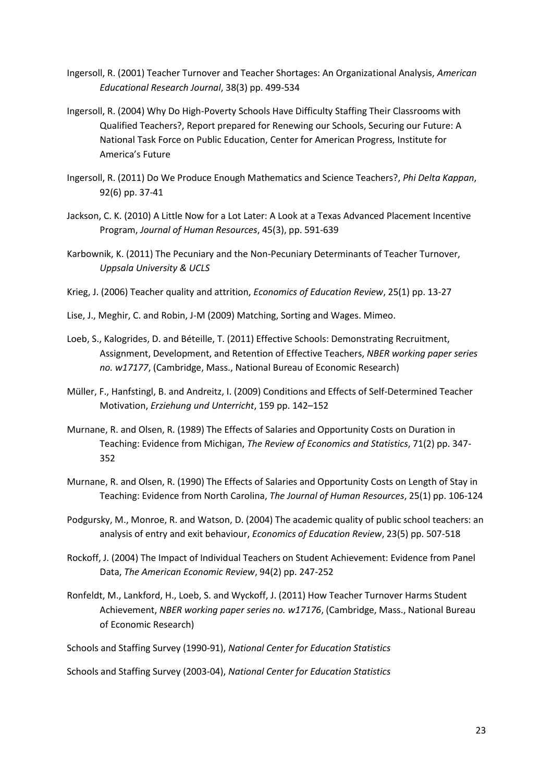- Ingersoll, R. (2001) Teacher Turnover and Teacher Shortages: An Organizational Analysis, *American Educational Research Journal*, 38(3) pp. 499-534
- Ingersoll, R. (2004) Why Do High-Poverty Schools Have Difficulty Staffing Their Classrooms with Qualified Teachers?, Report prepared for Renewing our Schools, Securing our Future: A National Task Force on Public Education, Center for American Progress, Institute for America's Future
- Ingersoll, R. (2011) Do We Produce Enough Mathematics and Science Teachers?, *Phi Delta Kappan*, 92(6) pp. 37-41
- Jackson, C. K. (2010) A Little Now for a Lot Later: A Look at a Texas Advanced Placement Incentive Program, *Journal of Human Resources*, 45(3), pp. 591-639
- Karbownik, K. (2011) The Pecuniary and the Non-Pecuniary Determinants of Teacher Turnover, *Uppsala University & UCLS*
- Krieg, J. (2006) Teacher quality and attrition, *Economics of Education Review*, 25(1) pp. 13-27
- Lise, J., Meghir, C. and Robin, J-M (2009) Matching, Sorting and Wages. Mimeo.
- Loeb, S., Kalogrides, D. and Béteille, T. (2011) Effective Schools: Demonstrating Recruitment, Assignment, Development, and Retention of Effective Teachers, *NBER working paper series no. w17177*, (Cambridge, Mass., National Bureau of Economic Research)
- Müller, F., Hanfstingl, B. and Andreitz, I. (2009) Conditions and Effects of Self-Determined Teacher Motivation, *Erziehung und Unterricht*, 159 pp. 142–152
- Murnane, R. and Olsen, R. (1989) The Effects of Salaries and Opportunity Costs on Duration in Teaching: Evidence from Michigan, *The Review of Economics and Statistics*, 71(2) pp. 347- 352
- Murnane, R. and Olsen, R. (1990) The Effects of Salaries and Opportunity Costs on Length of Stay in Teaching: Evidence from North Carolina, *The Journal of Human Resources*, 25(1) pp. 106-124
- Podgursky, M., Monroe, R. and Watson, D. (2004) The academic quality of public school teachers: an analysis of entry and exit behaviour, *Economics of Education Review*, 23(5) pp. 507-518
- Rockoff, J. (2004) The Impact of Individual Teachers on Student Achievement: Evidence from Panel Data, *The American Economic Review*, 94(2) pp. 247-252
- Ronfeldt, M., Lankford, H., Loeb, S. and Wyckoff, J. (2011) How Teacher Turnover Harms Student Achievement, *NBER working paper series no. w17176*, (Cambridge, Mass., National Bureau of Economic Research)

Schools and Staffing Survey (1990-91), *National Center for Education Statistics*

Schools and Staffing Survey (2003-04), *National Center for Education Statistics*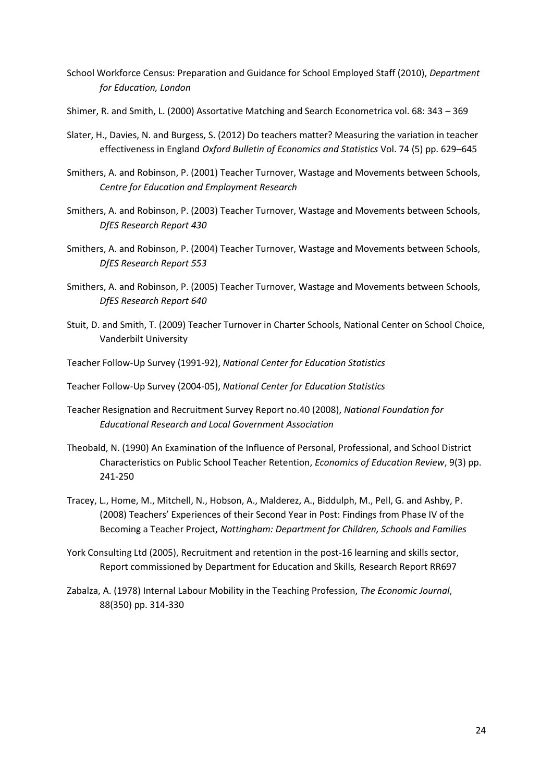- School Workforce Census: Preparation and Guidance for School Employed Staff (2010), *Department for Education, London*
- Shimer, R. and Smith, L. (2000) Assortative Matching and Search Econometrica vol. 68: 343 369
- Slater, H., Davies, N. and Burgess, S. (2012) Do teachers matter? Measuring the variation in teacher effectiveness in England *Oxford Bulletin of Economics and Statistics* Vol. 74 (5) pp. 629–645
- Smithers, A. and Robinson, P. (2001) Teacher Turnover, Wastage and Movements between Schools, *Centre for Education and Employment Research*
- Smithers, A. and Robinson, P. (2003) Teacher Turnover, Wastage and Movements between Schools, *DfES Research Report 430*
- Smithers, A. and Robinson, P. (2004) Teacher Turnover, Wastage and Movements between Schools, *DfES Research Report 553*
- Smithers, A. and Robinson, P. (2005) Teacher Turnover, Wastage and Movements between Schools, *DfES Research Report 640*
- Stuit, D. and Smith, T. (2009) Teacher Turnover in Charter Schools, National Center on School Choice, Vanderbilt University
- Teacher Follow-Up Survey (1991-92), *National Center for Education Statistics*
- Teacher Follow-Up Survey (2004-05), *National Center for Education Statistics*
- Teacher Resignation and Recruitment Survey Report no.40 (2008), *National Foundation for Educational Research and Local Government Association*
- Theobald, N. (1990) An Examination of the Influence of Personal, Professional, and School District Characteristics on Public School Teacher Retention, *Economics of Education Review*, 9(3) pp. 241-250
- Tracey, L., Home, M., Mitchell, N., Hobson, A., Malderez, A., Biddulph, M., Pell, G. and Ashby, P. (2008) Teachers' Experiences of their Second Year in Post: Findings from Phase IV of the Becoming a Teacher Project, *Nottingham: Department for Children, Schools and Families*
- York Consulting Ltd (2005), Recruitment and retention in the post-16 learning and skills sector, Report commissioned by Department for Education and Skills*,* Research Report RR697
- Zabalza, A. (1978) Internal Labour Mobility in the Teaching Profession, *The Economic Journal*, 88(350) pp. 314-330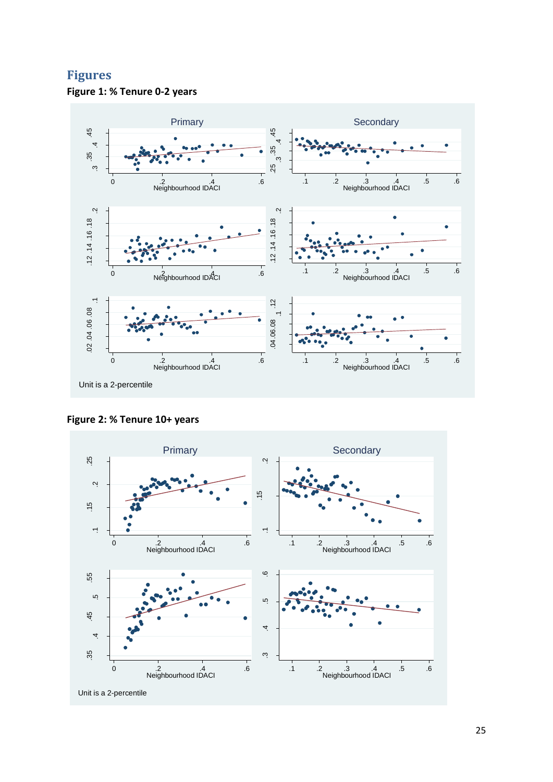## **Figures**





**Figure 2: % Tenure 10+ years**

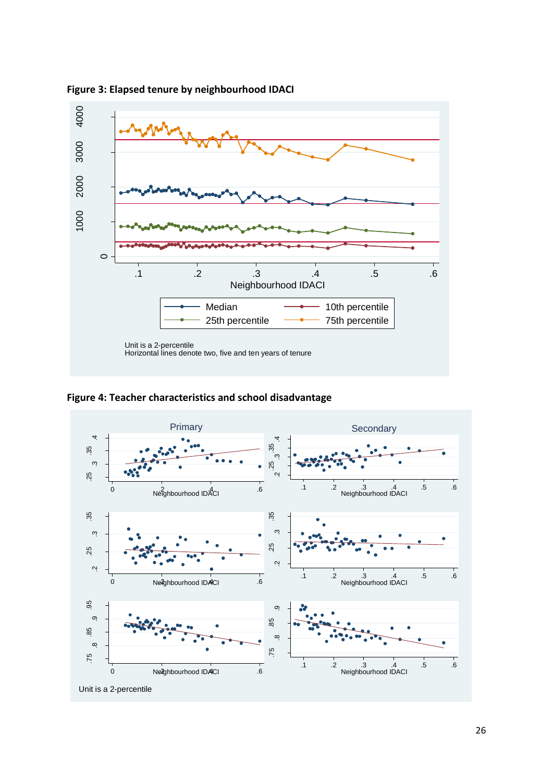



**Figure 4: Teacher characteristics and school disadvantage**

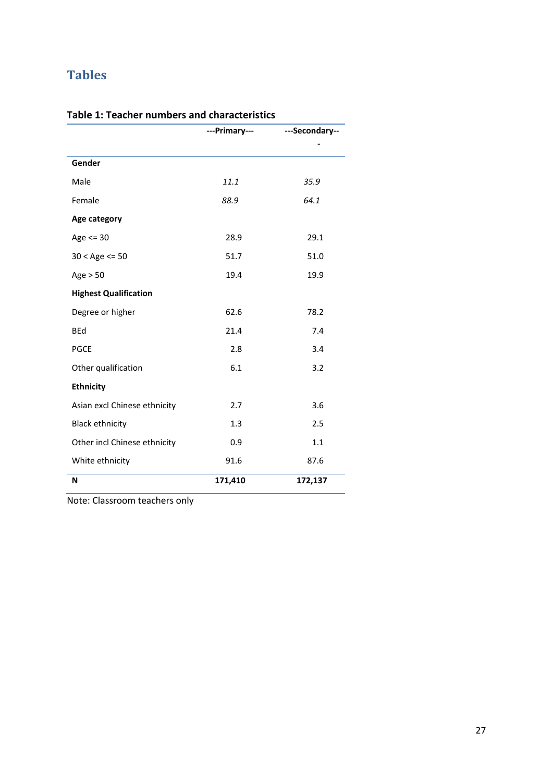# **Tables**

|                              | ---Primary--- | ---Secondary-- |  |  |
|------------------------------|---------------|----------------|--|--|
|                              |               |                |  |  |
| Gender                       |               |                |  |  |
| Male                         | 11.1          | 35.9           |  |  |
| Female                       | 88.9          | 64.1           |  |  |
| Age category                 |               |                |  |  |
| Age $<=$ 30                  | 28.9          | 29.1           |  |  |
| $30 <$ Age $\le$ 50          | 51.7          | 51.0           |  |  |
| Age > 50                     | 19.4          | 19.9           |  |  |
| <b>Highest Qualification</b> |               |                |  |  |
| Degree or higher             | 62.6          | 78.2           |  |  |
| <b>BEd</b>                   | 21.4          | 7.4            |  |  |
| <b>PGCE</b>                  | 2.8           | 3.4            |  |  |
| Other qualification          | 6.1           | 3.2            |  |  |
| <b>Ethnicity</b>             |               |                |  |  |
| Asian excl Chinese ethnicity | 2.7           | 3.6            |  |  |
| <b>Black ethnicity</b>       | 1.3           | 2.5            |  |  |
| Other incl Chinese ethnicity | 0.9           | 1.1            |  |  |
| White ethnicity              | 91.6          | 87.6           |  |  |
| N                            | 171,410       | 172,137        |  |  |

#### **Table 1: Teacher numbers and characteristics**

Note: Classroom teachers only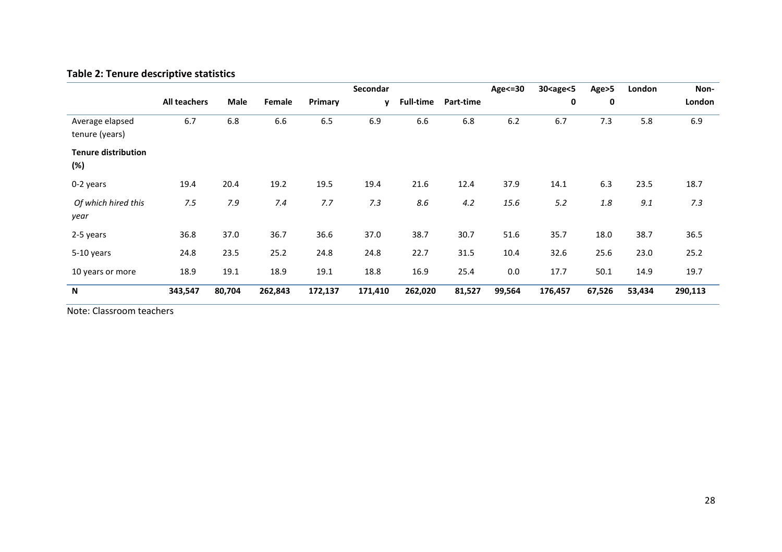#### **Table 2: Tenure descriptive statistics**

|                                   |                     |        |         |         | Secondar |                  |           | Age $<=30$ | 30 <age<5< th=""><th>Age&gt;5</th><th>London</th><th>Non-</th></age<5<> | Age>5  | London | Non-    |
|-----------------------------------|---------------------|--------|---------|---------|----------|------------------|-----------|------------|-------------------------------------------------------------------------|--------|--------|---------|
|                                   | <b>All teachers</b> | Male   | Female  | Primary | v        | <b>Full-time</b> | Part-time |            | 0                                                                       | 0      |        | London  |
| Average elapsed<br>tenure (years) | 6.7                 | 6.8    | 6.6     | 6.5     | 6.9      | 6.6              | 6.8       | 6.2        | 6.7                                                                     | 7.3    | 5.8    | 6.9     |
| <b>Tenure distribution</b><br>(%) |                     |        |         |         |          |                  |           |            |                                                                         |        |        |         |
| 0-2 years                         | 19.4                | 20.4   | 19.2    | 19.5    | 19.4     | 21.6             | 12.4      | 37.9       | 14.1                                                                    | 6.3    | 23.5   | 18.7    |
| Of which hired this<br>year       | 7.5                 | 7.9    | 7.4     | 7.7     | 7.3      | 8.6              | 4.2       | 15.6       | 5.2                                                                     | 1.8    | 9.1    | 7.3     |
| 2-5 years                         | 36.8                | 37.0   | 36.7    | 36.6    | 37.0     | 38.7             | 30.7      | 51.6       | 35.7                                                                    | 18.0   | 38.7   | 36.5    |
| 5-10 years                        | 24.8                | 23.5   | 25.2    | 24.8    | 24.8     | 22.7             | 31.5      | 10.4       | 32.6                                                                    | 25.6   | 23.0   | 25.2    |
| 10 years or more                  | 18.9                | 19.1   | 18.9    | 19.1    | 18.8     | 16.9             | 25.4      | 0.0        | 17.7                                                                    | 50.1   | 14.9   | 19.7    |
| $\mathbf N$                       | 343,547             | 80,704 | 262,843 | 172,137 | 171,410  | 262,020          | 81,527    | 99,564     | 176,457                                                                 | 67,526 | 53,434 | 290,113 |

Note: Classroom teachers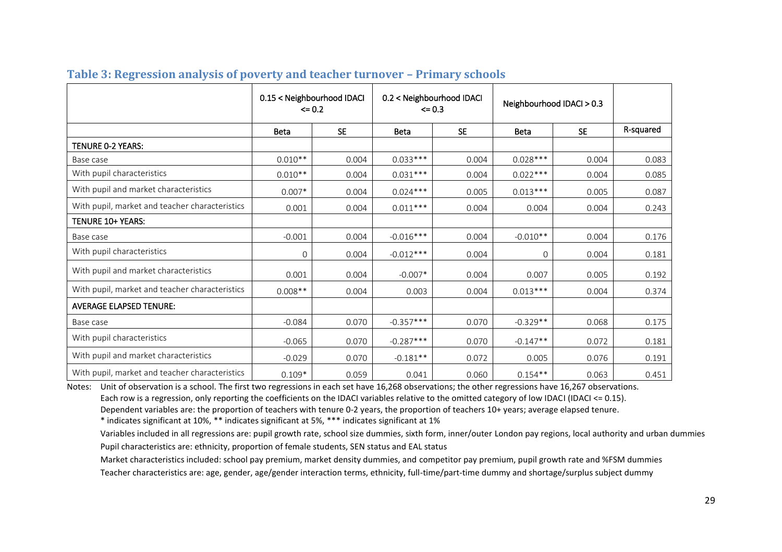|                                                | 0.15 < Neighbourhood IDACI<br>$\leq 0.2$ |           | 0.2 < Neighbourhood IDACI<br>$\leq 0.3$ |           | Neighbourhood IDACI > 0.3 |           |           |  |
|------------------------------------------------|------------------------------------------|-----------|-----------------------------------------|-----------|---------------------------|-----------|-----------|--|
|                                                | Beta                                     | <b>SE</b> | <b>Beta</b>                             | <b>SE</b> | <b>Beta</b>               | <b>SE</b> | R-squared |  |
| <b>TENURE 0-2 YEARS:</b>                       |                                          |           |                                         |           |                           |           |           |  |
| Base case                                      | $0.010**$                                | 0.004     | $0.033***$                              | 0.004     | $0.028***$                | 0.004     | 0.083     |  |
| With pupil characteristics                     | $0.010**$                                | 0.004     | $0.031***$                              | 0.004     | $0.022***$                | 0.004     | 0.085     |  |
| With pupil and market characteristics          | $0.007*$                                 | 0.004     | $0.024***$                              | 0.005     | $0.013***$                | 0.005     | 0.087     |  |
| With pupil, market and teacher characteristics | 0.001                                    | 0.004     | $0.011***$                              | 0.004     | 0.004                     | 0.004     | 0.243     |  |
| TENURE 10+ YEARS:                              |                                          |           |                                         |           |                           |           |           |  |
| Base case                                      | $-0.001$                                 | 0.004     | $-0.016***$                             | 0.004     | $-0.010**$                | 0.004     | 0.176     |  |
| With pupil characteristics                     | $\Omega$                                 | 0.004     | $-0.012***$                             | 0.004     | $\Omega$                  | 0.004     | 0.181     |  |
| With pupil and market characteristics          | 0.001                                    | 0.004     | $-0.007*$                               | 0.004     | 0.007                     | 0.005     | 0.192     |  |
| With pupil, market and teacher characteristics | $0.008**$                                | 0.004     | 0.003                                   | 0.004     | $0.013***$                | 0.004     | 0.374     |  |
| <b>AVERAGE ELAPSED TENURE:</b>                 |                                          |           |                                         |           |                           |           |           |  |
| Base case                                      | $-0.084$                                 | 0.070     | $-0.357***$                             | 0.070     | $-0.329**$                | 0.068     | 0.175     |  |
| With pupil characteristics                     | $-0.065$                                 | 0.070     | $-0.287***$                             | 0.070     | $-0.147**$                | 0.072     | 0.181     |  |
| With pupil and market characteristics          | $-0.029$                                 | 0.070     | $-0.181**$                              | 0.072     | 0.005                     | 0.076     | 0.191     |  |
| With pupil, market and teacher characteristics | $0.109*$                                 | 0.059     | 0.041                                   | 0.060     | $0.154**$                 | 0.063     | 0.451     |  |

#### **Table 3: Regression analysis of poverty and teacher turnover – Primary schools**

Notes: Unit of observation is a school. The first two regressions in each set have 16,268 observations; the other regressions have 16,267 observations. Each row is a regression, only reporting the coefficients on the IDACI variables relative to the omitted category of low IDACI (IDACI <= 0.15). Dependent variables are: the proportion of teachers with tenure 0-2 years, the proportion of teachers 10+ years; average elapsed tenure. \* indicates significant at 10%, \*\* indicates significant at 5%, \*\*\* indicates significant at 1%

 Variables included in all regressions are: pupil growth rate, school size dummies, sixth form, inner/outer London pay regions, local authority and urban dummies Pupil characteristics are: ethnicity, proportion of female students, SEN status and EAL status

 Market characteristics included: school pay premium, market density dummies, and competitor pay premium, pupil growth rate and %FSM dummies Teacher characteristics are: age, gender, age/gender interaction terms, ethnicity, full-time/part-time dummy and shortage/surplus subject dummy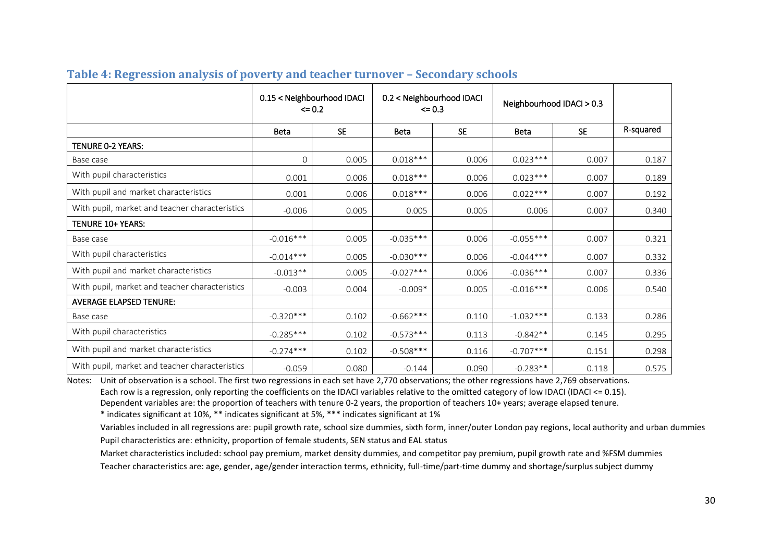|                                                | 0.15 < Neighbourhood IDACI<br>0.2 < Neighbourhood IDACI<br>Neighbourhood IDACI > 0.3<br>$\leq 0.2$<br>$\leq 0.3$ |           |             |           |             |           |           |
|------------------------------------------------|------------------------------------------------------------------------------------------------------------------|-----------|-------------|-----------|-------------|-----------|-----------|
|                                                | <b>Beta</b>                                                                                                      | <b>SE</b> | Beta        | <b>SE</b> | <b>Beta</b> | <b>SE</b> | R-squared |
| <b>TENURE 0-2 YEARS:</b>                       |                                                                                                                  |           |             |           |             |           |           |
| Base case                                      | 0                                                                                                                | 0.005     | $0.018***$  | 0.006     | $0.023***$  | 0.007     | 0.187     |
| With pupil characteristics                     | 0.001                                                                                                            | 0.006     | $0.018***$  | 0.006     | $0.023***$  | 0.007     | 0.189     |
| With pupil and market characteristics          | 0.001                                                                                                            | 0.006     | $0.018***$  | 0.006     | $0.022***$  | 0.007     | 0.192     |
| With pupil, market and teacher characteristics | $-0.006$                                                                                                         | 0.005     | 0.005       | 0.005     | 0.006       | 0.007     | 0.340     |
| TENURE 10+ YEARS:                              |                                                                                                                  |           |             |           |             |           |           |
| Base case                                      | $-0.016***$                                                                                                      | 0.005     | $-0.035***$ | 0.006     | $-0.055***$ | 0.007     | 0.321     |
| With pupil characteristics                     | $-0.014***$                                                                                                      | 0.005     | $-0.030***$ | 0.006     | $-0.044***$ | 0.007     | 0.332     |
| With pupil and market characteristics          | $-0.013**$                                                                                                       | 0.005     | $-0.027***$ | 0.006     | $-0.036***$ | 0.007     | 0.336     |
| With pupil, market and teacher characteristics | $-0.003$                                                                                                         | 0.004     | $-0.009*$   | 0.005     | $-0.016***$ | 0.006     | 0.540     |
| <b>AVERAGE ELAPSED TENURE:</b>                 |                                                                                                                  |           |             |           |             |           |           |
| Base case                                      | $-0.320***$                                                                                                      | 0.102     | $-0.662***$ | 0.110     | $-1.032***$ | 0.133     | 0.286     |
| With pupil characteristics                     | $-0.285***$                                                                                                      | 0.102     | $-0.573***$ | 0.113     | $-0.842**$  | 0.145     | 0.295     |
| With pupil and market characteristics          | $-0.274***$                                                                                                      | 0.102     | $-0.508***$ | 0.116     | $-0.707***$ | 0.151     | 0.298     |
| With pupil, market and teacher characteristics | $-0.059$                                                                                                         | 0.080     | $-0.144$    | 0.090     | $-0.283**$  | 0.118     | 0.575     |

#### **Table 4: Regression analysis of poverty and teacher turnover – Secondary schools**

Notes: Unit of observation is a school. The first two regressions in each set have 2,770 observations; the other regressions have 2,769 observations. Each row is a regression, only reporting the coefficients on the IDACI variables relative to the omitted category of low IDACI (IDACI <= 0.15). Dependent variables are: the proportion of teachers with tenure 0-2 years, the proportion of teachers 10+ years; average elapsed tenure.

\* indicates significant at 10%, \*\* indicates significant at 5%, \*\*\* indicates significant at 1%

 Variables included in all regressions are: pupil growth rate, school size dummies, sixth form, inner/outer London pay regions, local authority and urban dummies Pupil characteristics are: ethnicity, proportion of female students, SEN status and EAL status

 Market characteristics included: school pay premium, market density dummies, and competitor pay premium, pupil growth rate and %FSM dummies Teacher characteristics are: age, gender, age/gender interaction terms, ethnicity, full-time/part-time dummy and shortage/surplus subject dummy